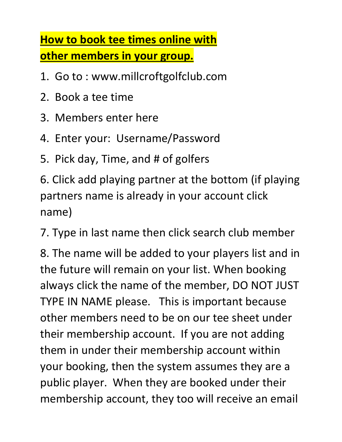## **How to book tee times online with other members in your group.**

- 1. Go to : www.millcroftgolfclub.com
- 2. Book a tee time
- 3. Members enter here
- 4. Enter your: Username/Password
- 5. Pick day, Time, and # of golfers

6. Click add playing partner at the bottom (if playing partners name is already in your account click name)

7. Type in last name then click search club member

8. The name will be added to your players list and in the future will remain on your list. When booking always click the name of the member, DO NOT JUST TYPE IN NAME please. This is important because other members need to be on our tee sheet under their membership account. If you are not adding them in under their membership account within your booking, then the system assumes they are a public player. When they are booked under their membership account, they too will receive an email